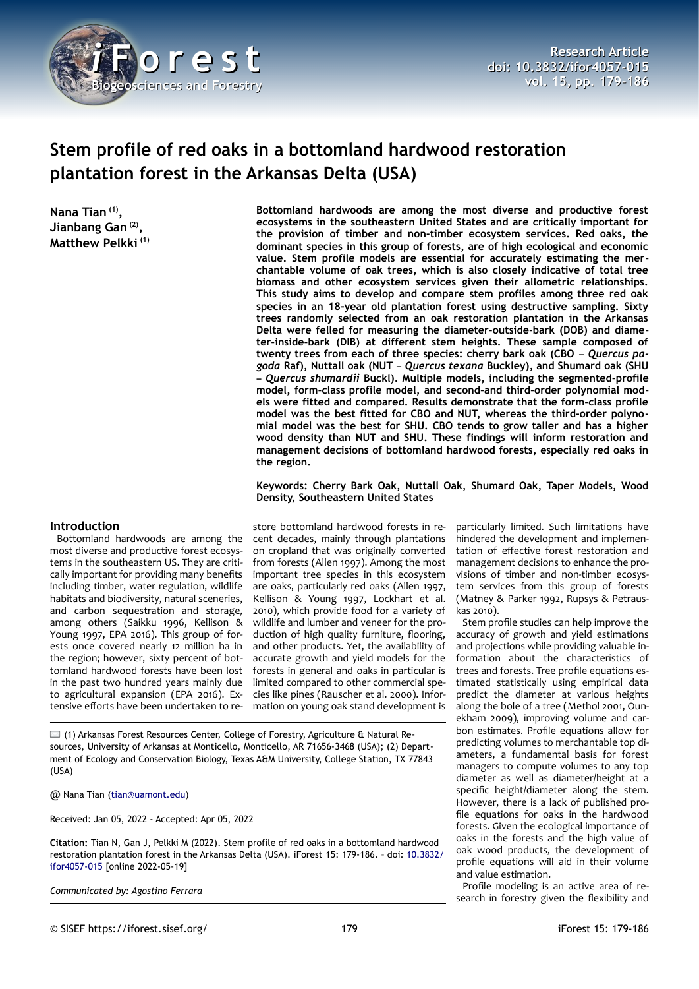

# **Stem profile of red oaks in a bottomland hardwood restoration plantation forest in the Arkansas Delta (USA)**

**Nana Tian (1) , Jianbang Gan (2) , Matthew Pelkki (1)**

**Bottomland hardwoods are among the most diverse and productive forest ecosystems in the southeastern United States and are critically important for the provision of timber and non-timber ecosystem services. Red oaks, the dominant species in this group of forests, are of high ecological and economic value. Stem profile models are essential for accurately estimating the merchantable volume of oak trees, which is also closely indicative of total tree biomass and other ecosystem services given their allometric relationships. This study aims to develop and compare stem profiles among three red oak species in an 18-year old plantation forest using destructive sampling. Sixty trees randomly selected from an oak restoration plantation in the Arkansas Delta were felled for measuring the diameter-outside-bark (DOB) and diameter-inside-bark (DIB) at different stem heights. These sample composed of twenty trees from each of three species: cherry bark oak (CBO –** *Quercus pagoda* **Raf), Nuttall oak (NUT –** *Quercus texana* **Buckley), and Shumard oak (SHU –** *Quercus shumardii* **Buckl). Multiple models, including the segmented-profile model, form-class profile model, and second-and third-order polynomial models were fitted and compared. Results demonstrate that the form-class profile model was the best fitted for CBO and NUT, whereas the third-order polynomial model was the best for SHU. CBO tends to grow taller and has a higher wood density than NUT and SHU. These findings will inform restoration and management decisions of bottomland hardwood forests, especially red oaks in the region.**

### **Keywords: Cherry Bark Oak, Nuttall Oak, Shumard Oak, Taper Models, Wood Density, Southeastern United States**

## **Introduction**

Bottomland hardwoods are among the most diverse and productive forest ecosystems in the southeastern US. They are critically important for providing many benefits including timber, water regulation, wildlife habitats and biodiversity, natural sceneries, and carbon sequestration and storage, among others (Saikku 1996, Kellison & Young 1997, EPA 2016). This group of forests once covered nearly 12 million ha in the region; however, sixty percent of bottomland hardwood forests have been lost in the past two hundred years mainly due to agricultural expansion (EPA 2016). Extensive efforts have been undertaken to re-

store bottomland hardwood forests in recent decades, mainly through plantations on cropland that was originally converted from forests (Allen 1997). Among the most important tree species in this ecosystem are oaks, particularly red oaks (Allen 1997, Kellison & Young 1997, Lockhart et al. 2010), which provide food for a variety of wildlife and lumber and veneer for the production of high quality furniture, flooring, and other products. Yet, the availability of accurate growth and yield models for the forests in general and oaks in particular is limited compared to other commercial species like pines (Rauscher et al. 2000). Information on young oak stand development is

 $\Box$  (1) Arkansas Forest Resources Center, College of Forestry, Agriculture & Natural Resources, University of Arkansas at Monticello, Monticello, AR 71656-3468 (USA); (2) Department of Ecology and Conservation Biology, Texas A&M University, College Station, TX 77843 (USA)

@ Nana Tian [\(tian@uamont.edu](mailto:tian@uamont.edu))

Received: Jan 05, 2022 - Accepted: Apr 05, 2022

**Citation:** Tian N, Gan J, Pelkki M (2022). Stem profile of red oaks in a bottomland hardwood restoration plantation forest in the Arkansas Delta (USA). iForest 15: 179-186. – doi: [10.3832/](http://www.sisef.it/iforest/contents/?id=ifor4057-015) [ifor4057-015](http://www.sisef.it/iforest/contents/?id=ifor4057-015) [online 2022-05-19]

*Communicated by: Agostino Ferrara*

particularly limited. Such limitations have hindered the development and implementation of effective forest restoration and management decisions to enhance the provisions of timber and non-timber ecosystem services from this group of forests (Matney & Parker 1992, Rupsys & Petrauskas 2010).

Stem profile studies can help improve the accuracy of growth and yield estimations and projections while providing valuable information about the characteristics of trees and forests. Tree profile equations estimated statistically using empirical data predict the diameter at various heights along the bole of a tree (Methol 2001, Ounekham 2009), improving volume and carbon estimates. Profile equations allow for predicting volumes to merchantable top diameters, a fundamental basis for forest managers to compute volumes to any top diameter as well as diameter/height at a specific height/diameter along the stem. However, there is a lack of published profile equations for oaks in the hardwood forests. Given the ecological importance of oaks in the forests and the high value of oak wood products, the development of profile equations will aid in their volume and value estimation.

Profile modeling is an active area of research in forestry given the flexibility and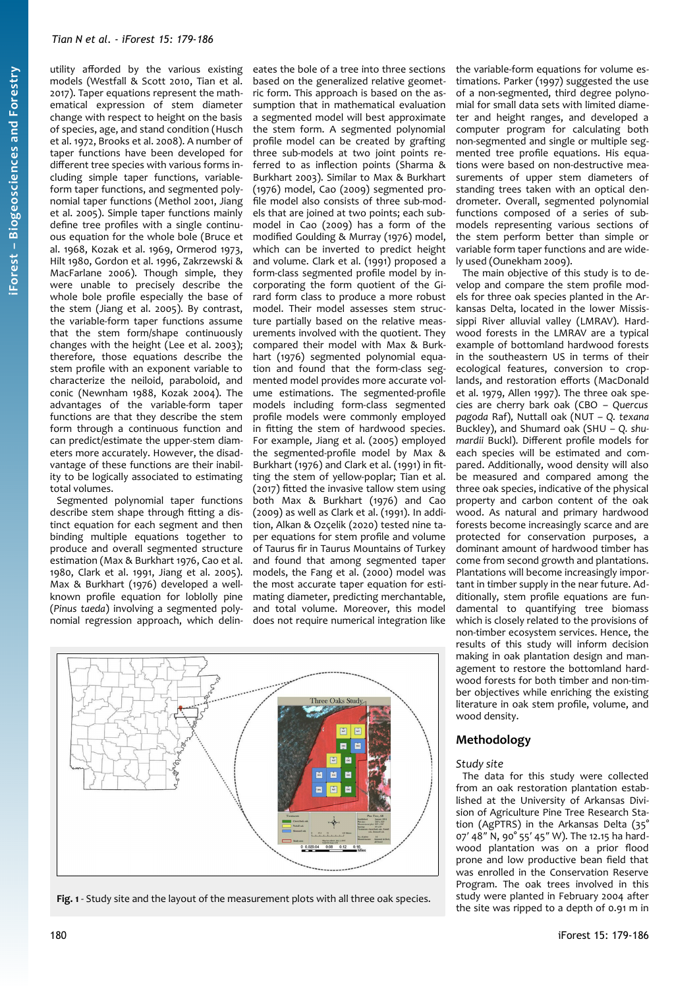utility afforded by the various existing models (Westfall & Scott 2010, Tian et al. 2017). Taper equations represent the mathematical expression of stem diameter change with respect to height on the basis of species, age, and stand condition (Husch et al. 1972, Brooks et al. 2008). A number of taper functions have been developed for different tree species with various forms including simple taper functions, variableform taper functions, and segmented polynomial taper functions (Methol 2001, Jiang et al. 2005). Simple taper functions mainly define tree profiles with a single continuous equation for the whole bole (Bruce et al. 1968, Kozak et al. 1969, Ormerod 1973, Hilt 1980, Gordon et al. 1996, Zakrzewski & MacFarlane 2006). Though simple, they were unable to precisely describe the whole bole profile especially the base of the stem (Jiang et al. 2005). By contrast, the variable-form taper functions assume that the stem form/shape continuously changes with the height (Lee et al. 2003); therefore, those equations describe the stem profile with an exponent variable to characterize the neiloid, paraboloid, and conic (Newnham 1988, Kozak 2004). The advantages of the variable-form taper functions are that they describe the stem form through a continuous function and can predict/estimate the upper-stem diameters more accurately. However, the disadvantage of these functions are their inability to be logically associated to estimating total volumes.

Segmented polynomial taper functions describe stem shape through fitting a distinct equation for each segment and then binding multiple equations together to produce and overall segmented structure estimation (Max & Burkhart 1976, Cao et al. 1980, Clark et al. 1991, Jiang et al. 2005). Max & Burkhart (1976) developed a wellknown profile equation for loblolly pine (*Pinus taeda*) involving a segmented polynomial regression approach, which delin-

eates the bole of a tree into three sections based on the generalized relative geometric form. This approach is based on the assumption that in mathematical evaluation a segmented model will best approximate the stem form. A segmented polynomial profile model can be created by grafting three sub-models at two joint points referred to as inflection points (Sharma & Burkhart 2003). Similar to Max & Burkhart (1976) model, Cao (2009) segmented profile model also consists of three sub-models that are joined at two points; each submodel in Cao (2009) has a form of the modified Goulding & Murray (1976) model, which can be inverted to predict height and volume. Clark et al. (1991) proposed a form-class segmented profile model by incorporating the form quotient of the Girard form class to produce a more robust model. Their model assesses stem structure partially based on the relative measurements involved with the quotient. They compared their model with Max & Burkhart (1976) segmented polynomial equation and found that the form-class segmented model provides more accurate volume estimations. The segmented-profile models including form-class segmented profile models were commonly employed in fitting the stem of hardwood species. For example, Jiang et al. (2005) employed the segmented-profile model by Max & Burkhart (1976) and Clark et al. (1991) in fitting the stem of yellow-poplar; Tian et al. (2017) fitted the invasive tallow stem using both Max & Burkhart (1976) and Cao (2009) as well as Clark et al. (1991). In addition, Alkan & Ozçelik (2020) tested nine taper equations for stem profile and volume of Taurus fir in Taurus Mountains of Turkey and found that among segmented taper models, the Fang et al. (2000) model was the most accurate taper equation for estimating diameter, predicting merchantable, and total volume. Moreover, this model does not require numerical integration like



<span id="page-1-0"></span>**Fig. 1** - Study site and the layout of the measurement plots with all three oak species.

the variable-form equations for volume estimations. Parker (1997) suggested the use of a non-segmented, third degree polynomial for small data sets with limited diameter and height ranges, and developed a computer program for calculating both non-segmented and single or multiple segmented tree profile equations. His equations were based on non-destructive measurements of upper stem diameters of standing trees taken with an optical dendrometer. Overall, segmented polynomial functions composed of a series of submodels representing various sections of the stem perform better than simple or variable form taper functions and are widely used (Ounekham 2009).

The main objective of this study is to develop and compare the stem profile models for three oak species planted in the Arkansas Delta, located in the lower Mississippi River alluvial valley (LMRAV). Hardwood forests in the LMRAV are a typical example of bottomland hardwood forests in the southeastern US in terms of their ecological features, conversion to croplands, and restoration efforts (MacDonald et al. 1979, Allen 1997). The three oak species are cherry bark oak (CBO – *Quercus pagoda* Raf), Nuttall oak (NUT – *Q. texana* Buckley), and Shumard oak (SHU – *Q. shumardii* Buckl). Different profile models for each species will be estimated and compared. Additionally, wood density will also be measured and compared among the three oak species, indicative of the physical property and carbon content of the oak wood. As natural and primary hardwood forests become increasingly scarce and are protected for conservation purposes, a dominant amount of hardwood timber has come from second growth and plantations. Plantations will become increasingly important in timber supply in the near future. Additionally, stem profile equations are fundamental to quantifying tree biomass which is closely related to the provisions of non-timber ecosystem services. Hence, the results of this study will inform decision making in oak plantation design and management to restore the bottomland hardwood forests for both timber and non-timber objectives while enriching the existing literature in oak stem profile, volume, and wood density.

# **Methodology**

## *Study site*

The data for this study were collected from an oak restoration plantation established at the University of Arkansas Division of Agriculture Pine Tree Research Station (AgPTRS) in the Arkansas Delta (35° 07′ 48″ N, 90° 55′ 45″ W). The 12.15 ha hardwood plantation was on a prior flood prone and low productive bean field that was enrolled in the Conservation Reserve Program. The oak trees involved in this study were planted in February 2004 after the site was ripped to a depth of 0.91 m in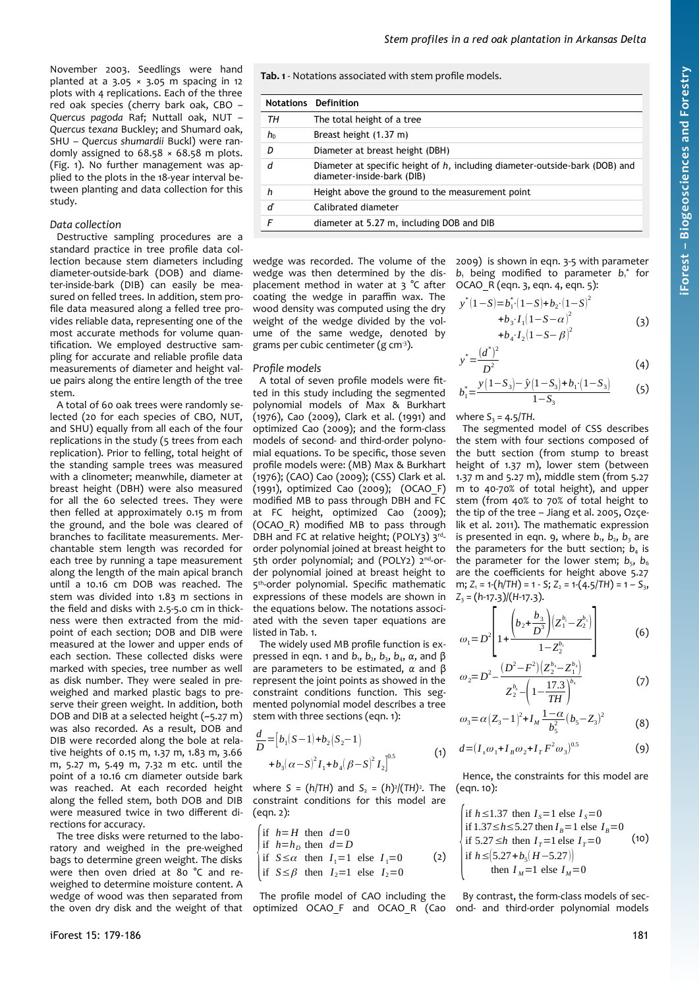November 2003. Seedlings were hand planted at a  $3.05 \times 3.05$  m spacing in 12 plots with 4 replications. Each of the three red oak species (cherry bark oak, CBO – *Quercus pagoda* Raf; Nuttall oak, NUT – *Quercus texana* Buckley; and Shumard oak, SHU – *Quercus shumardii* Buckl) were randomly assigned to  $68.58 \times 68.58$  m plots. ([Fig. 1](#page-1-0)). No further management was applied to the plots in the 18-year interval between planting and data collection for this study.

# *Data collection*

Destructive sampling procedures are a standard practice in tree profile data collection because stem diameters including diameter-outside-bark (DOB) and diameter-inside-bark (DIB) can easily be measured on felled trees. In addition, stem profile data measured along a felled tree provides reliable data, representing one of the most accurate methods for volume quantification. We employed destructive sampling for accurate and reliable profile data measurements of diameter and height value pairs along the entire length of the tree stem.

A total of 60 oak trees were randomly selected (20 for each species of CBO, NUT, and SHU) equally from all each of the four replications in the study (5 trees from each replication). Prior to felling, total height of the standing sample trees was measured with a clinometer; meanwhile, diameter at breast height (DBH) were also measured for all the 60 selected trees. They were then felled at approximately 0.15 m from the ground, and the bole was cleared of branches to facilitate measurements. Merchantable stem length was recorded for each tree by running a tape measurement along the length of the main apical branch until a 10.16 cm DOB was reached. The stem was divided into 1.83 m sections in the field and disks with 2.5-5.0 cm in thickness were then extracted from the midpoint of each section; DOB and DIB were measured at the lower and upper ends of each section. These collected disks were marked with species, tree number as well as disk number. They were sealed in preweighed and marked plastic bags to preserve their green weight. In addition, both DOB and DIB at a selected height (~5.27 m) was also recorded. As a result, DOB and DIB were recorded along the bole at relative heights of 0.15 m, 1.37 m, 1.83 m, 3.66 m, 5.27 m, 5.49 m, 7.32 m etc. until the point of a 10.16 cm diameter outside bark was reached. At each recorded height along the felled stem, both DOB and DIB were measured twice in two different directions for accuracy.

The tree disks were returned to the laboratory and weighed in the pre-weighed bags to determine green weight. The disks were then oven dried at 80 °C and reweighed to determine moisture content. A wedge of wood was then separated from the oven dry disk and the weight of that <span id="page-2-0"></span>**Tab. 1** - Notations associated with stem profile models.

|    | <b>Notations Definition</b>                                                                               |
|----|-----------------------------------------------------------------------------------------------------------|
| TН | The total height of a tree                                                                                |
| h۵ | Breast height (1.37 m)                                                                                    |
| D  | Diameter at breast height (DBH)                                                                           |
| d  | Diameter at specific height of h, including diameter-outside-bark (DOB) and<br>diameter-inside-bark (DIB) |
| h  | Height above the ground to the measurement point                                                          |
| ď  | Calibrated diameter                                                                                       |
| F  | diameter at 5.27 m, including DOB and DIB                                                                 |

wedge was recorded. The volume of the wedge was then determined by the displacement method in water at 3 °C after coating the wedge in paraffin wax. The wood density was computed using the dry weight of the wedge divided by the volume of the same wedge, denoted by grams per cubic centimeter (g  $cm<sup>3</sup>$ ).

#### *Profile models*

A total of seven profile models were fitted in this study including the segmented polynomial models of Max & Burkhart (1976), Cao (2009), Clark et al. (1991) and optimized Cao (2009); and the form-class models of second- and third-order polynomial equations. To be specific, those seven profile models were: (MB) Max & Burkhart (1976); (CAO) Cao (2009); (CSS) Clark et al. (1991), optimized Cao (2009); (OCAO\_F) modified MB to pass through DBH and FC at FC height, optimized Cao (2009); (OCAO\_R) modified MB to pass through DBH and FC at relative height; (POLY3) 3rdorder polynomial joined at breast height to 5th order polynomial; and (POLY2) 2<sup>nd</sup>-order polynomial joined at breast height to 5<sup>th</sup>-order polynomial. Specific mathematic expressions of these models are shown in the equations below. The notations associated with the seven taper equations are listed in [Tab. 1.](#page-2-0)

The widely used MB profile function is expressed in eqn. 1 and *b*1, *b*2, *b*3, *b*4, *α*, and β are parameters to be estimated, *α* and β represent the joint points as showed in the constraint conditions function. This segmented polynomial model describes a tree stem with three sections (eqn. 1):

$$
\frac{d}{D} = [b_1(S-1) + b_2(S_2 - 1) + b_3(\alpha - S)^2 I_1 + b_4(\beta - S)^2 I_2]^{0.5}
$$
\n(1)

where *S* = (*h*/*TH*) and *S*<sub>2</sub> = (*h*)<sup>2</sup>/(*TH*)<sup>2</sup>. The constraint conditions for this model are  $(ean. 2):$ 

$$
\begin{cases}\n\text{if } h=H \text{ then } d=0 \\
\text{if } h=h_D \text{ then } d=D \\
\text{if } S \le \alpha \text{ then } I_1=1 \text{ else } I_1=0 \\
\text{if } S \le \beta \text{ then } I_2=1 \text{ else } I_2=0\n\end{cases}
$$
\n(2)

The profile model of CAO including the optimized OCAO\_F and OCAO\_R (Cao

2009) is shown in eqn. 3-5 with parameter  $b_1$  being modified to parameter  $b_1^*$  for OCAO\_R (eqn. 3, eqn. 4, eqn. 5):

$$
y^*(1-S)=b_1^*(1-S)+b_2\cdot(1-S)^2+b_3 \cdot I_1(1-S-\alpha)^2+b_4 \cdot I_2(1-S-\beta)^2
$$
 (3)

$$
^* = \frac{(d^*)^2}{D^2} \tag{4}
$$

$$
b_1^* = \frac{y(1-S_3) - \hat{y}(1-S_3) + b_1 \cdot (1-S_3)}{1-S_3}
$$
 (5)

where  $S_3 = 4.5$ /*TH*.

*y*

The segmented model of CSS describes the stem with four sections composed of the butt section (from stump to breast height of 1.37 m), lower stem (between 1.37 m and 5.27 m), middle stem (from 5.27 m to 40-70% of total height), and upper stem (from 40% to 70% of total height to the tip of the tree – Jiang et al. 2005, Ozçelik et al. 2011). The mathematic expression is presented in eqn. 9, where  $b_1$ ,  $b_2$ ,  $b_3$  are the parameters for the butt section;  $b_4$  is the parameter for the lower stem;  $b_5$ ,  $b_6$ are the coefficients for height above 5.27 m;  $Z_1 = 1-(h/TH) = 1 - S$ ;  $Z_2 = 1-(4.5/TH) = 1 - S_3$ *Z*3 = (*h*-17.3)/(*H*-17.3).

$$
\omega_1 = D^2 \left[ 1 + \frac{\left(b_2 + \frac{b_3}{D^3}\right) \left(Z_1^{b_1} - Z_2^{b_1}\right)}{1 - Z_2^{b_1}} \right]
$$
(6)

$$
\omega_2 = D^2 - \frac{(D^2 - F^2)(Z_2^{b_2} - Z_1^{b_4})}{Z_2^{b_4} - \left(1 - \frac{17.3}{TH}\right)^{b_4}}
$$
(7)

$$
\omega_3 = \alpha \left(Z_3 - 1\right)^2 + I_M \frac{1 - \alpha}{b_5^2} (b_5 - Z_3)^2 \tag{8}
$$

$$
d = (I_s \omega_1 + I_B \omega_2 + I_T F^2 \omega_3)^{0.5}
$$
 (9)

Hence, the constraints for this model are (eqn. 10):

\n if 
$$
h \leq 1.37
$$
 then  $I_s = 1$  else  $I_s = 0$   
\n if  $1.37 \leq h \leq 5.27$  then  $I_p = 1$  else  $I_p = 0$   
\n if  $5.27 \leq h$  then  $I_r = 1$  else  $I_r = 0$  (10)\n

\n\n if  $h \leq [5.27 + b_s(H - 5.27)]$   
\n then  $I_M = 1$  else  $I_M = 0$ \n

By contrast, the form-class models of second- and third-order polynomial models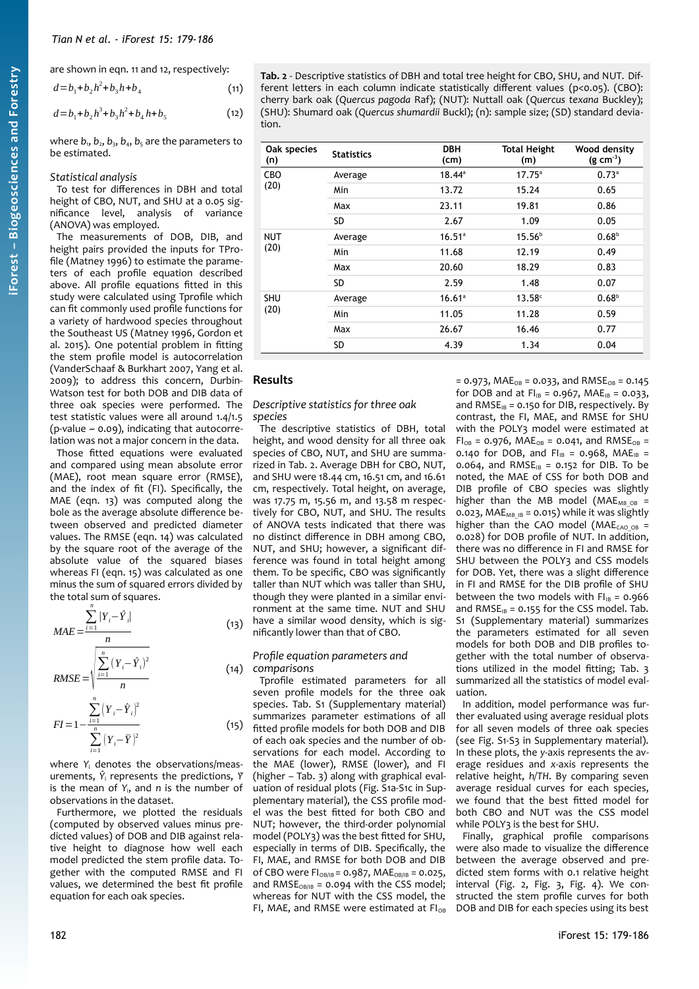are shown in eqn. 11 and 12, respectively:

$$
d = b_1 + b_2 h^2 + b_3 h + b_4
$$
 (11)  

$$
d = b_1 + b_2 h^3 + b_3 h^2 + b_1 h + b_2
$$
 (12)

$$
d = b_1 + b_2 h^3 + b_3 h^2 + b_4 h + b_5
$$

where  $b_1$ ,  $b_2$ ,  $b_3$ ,  $b_4$ ,  $b_5$  are the parameters to be estimated.

#### *Statistical analysis*

To test for differences in DBH and total height of CBO, NUT, and SHU at a 0.05 significance level, analysis of variance (ANOVA) was employed.

The measurements of DOB, DIB, and height pairs provided the inputs for TProfile (Matney 1996) to estimate the parameters of each profile equation described above. All profile equations fitted in this study were calculated using Tprofile which can fit commonly used profile functions for a variety of hardwood species throughout the Southeast US (Matney 1996, Gordon et al. 2015). One potential problem in fitting the stem profile model is autocorrelation (VanderSchaaf & Burkhart 2007, Yang et al. 2009); to address this concern, Durbin-Watson test for both DOB and DIB data of three oak species were performed. The test statistic values were all around 1.4/1.5 (p-value  $\sim$  0.09), indicating that autocorrelation was not a major concern in the data.

Those fitted equations were evaluated and compared using mean absolute error (MAE), root mean square error (RMSE), and the index of fit (FI). Specifically, the MAE (eqn. 13) was computed along the bole as the average absolute difference between observed and predicted diameter values. The RMSE (eqn. 14) was calculated by the square root of the average of the absolute value of the squared biases whereas FI (eqn. 15) was calculated as one minus the sum of squared errors divided by the total sum of squares.

$$
MAE = \frac{\sum_{i=1}^{n} |Y_i - \hat{Y}_i|}{n}
$$
(13)  
\n
$$
RMSE = \sqrt{\frac{\sum_{i=1}^{n} (Y_i - \hat{Y}_i)^2}{n}}
$$
(14)  
\n
$$
FI = 1 - \frac{\sum_{i=1}^{n} (Y_i - \hat{Y}_i)^2}{\sum_{i=1}^{n} (Y_i - \bar{Y})^2}
$$
(15)

where *Y*<sup>i</sup> denotes the observations/measurements,  $\hat{Y}_i$  represents the predictions,  $\hat{Y}_i$ is the mean of *Y*i, and *n* is the number of observations in the dataset.

Furthermore, we plotted the residuals (computed by observed values minus predicted values) of DOB and DIB against relative height to diagnose how well each model predicted the stem profile data. Together with the computed RMSE and FI values, we determined the best fit profile equation for each oak species.

<span id="page-3-0"></span>**Tab. 2** - Descriptive statistics of DBH and total tree height for CBO, SHU, and NUT. Different letters in each column indicate statistically different values (p<0.05). (CBO): cherry bark oak (*Quercus pagoda* Raf); (NUT): Nuttall oak (*Quercus texana* Buckley); (SHU): Shumard oak (*Quercus shumardii* Buckl); (n): sample size; (SD) standard deviation.

| Oak species<br>(n) | <b>Statistics</b> | <b>DBH</b><br>(cm) | <b>Total Height</b><br>(m) | Wood density<br>$(g cm-3)$ |
|--------------------|-------------------|--------------------|----------------------------|----------------------------|
| CBO                | Average           | $18.44^{\circ}$    | $17.75^{\circ}$            | 0.73 <sup>a</sup>          |
| (20)               | Min               | 13.72              | 15.24                      | 0.65                       |
|                    | Max               | 23.11              | 19.81                      | 0.86                       |
|                    | SD.               | 2.67               | 1.09                       | 0.05                       |
| <b>NUT</b>         | Average           | $16.51^a$          | 15.56 <sup>b</sup>         | 0.68 <sup>b</sup>          |
| (20)               | Min               | 11.68              | 12.19                      | 0.49                       |
|                    | Max               | 20.60              | 18.29                      | 0.83                       |
|                    | <b>SD</b>         | 2.59               | 1.48                       | 0.07                       |
| <b>SHU</b>         | Average           | 16.61a             | 13.58c                     | 0.68 <sup>b</sup>          |
| (20)               | Min               | 11.05              | 11.28                      | 0.59                       |
|                    | Max               | 26.67              | 16.46                      | 0.77                       |
|                    | SD                | 4.39               | 1.34                       | 0.04                       |

# **Results**

*Descriptive statistics for three oak species*

The descriptive statistics of DBH, total height, and wood density for all three oak species of CBO, NUT, and SHU are summarized in [Tab. 2](#page-3-0). Average DBH for CBO, NUT, and SHU were 18.44 cm, 16.51 cm, and 16.61 cm, respectively. Total height, on average, was 17.75 m, 15.56 m, and 13.58 m respectively for CBO, NUT, and SHU. The results of ANOVA tests indicated that there was no distinct difference in DBH among CBO, NUT, and SHU; however, a significant difference was found in total height among them. To be specific, CBO was significantly taller than NUT which was taller than SHU, though they were planted in a similar environment at the same time. NUT and SHU have a similar wood density, which is significantly lower than that of CBO.

#### *Profile equation parameters and comparisons*

Tprofile estimated parameters for all seven profile models for the three oak species. Tab. S1 (Supplementary material) summarizes parameter estimations of all fitted profile models for both DOB and DIB of each oak species and the number of observations for each model. According to the MAE (lower), RMSE (lower), and FI (higher – [Tab. 3\)](#page-4-1) along with graphical evaluation of residual plots (Fig. S1a-S1c in Supplementary material), the CSS profile model was the best fitted for both CBO and NUT; however, the third-order polynomial model (POLY3) was the best fitted for SHU, especially in terms of DIB. Specifically, the FI, MAE, and RMSE for both DOB and DIB of CBO were  $FI_{OB/IB} = 0.987$ , MAE $_{OB/IB} = 0.025$ , and RMS $E_{OB/IB}$  = 0.094 with the CSS model; whereas for NUT with the CSS model, the FI, MAE, and RMSE were estimated at  $FI_{OB}$ 

 $= 0.973$ , MAE<sub>OB</sub> = 0.033, and RMSE<sub>OB</sub> = 0.145 for DOB and at  $FI_{IB} = 0.967$ , MAE<sub>IB</sub> = 0.033, and  $RMSE_{IB} = 0.150$  for DIB, respectively. By contrast, the FI, MAE, and RMSE for SHU with the POLY3 model were estimated at  $FI_{OB} = 0.976$ ,  $MAE_{OB} = 0.041$ , and  $RMSE_{OB} =$ 0.140 for DOB, and  $FI_{IB} = 0.968$ , MAE<sub>IB</sub> = 0.064, and RMSE<sub>IB</sub> = 0.152 for DIB. To be noted, the MAE of CSS for both DOB and DIB profile of CBO species was slightly higher than the MB model ( $MAE<sub>MB</sub>$  ob = 0.023, MAE<sub>MB IB</sub> = 0.015) while it was slightly higher than the CAO model (MAE<sub>CAO OB</sub> = 0.028) for DOB profile of NUT. In addition, there was no difference in FI and RMSE for SHU between the POLY3 and CSS models for DOB. Yet, there was a slight difference in FI and RMSE for the DIB profile of SHU between the two models with  $FI_{IB} = 0.966$ and  $RMSE_{IB} = 0.155$  for the CSS model. Tab. S1 (Supplementary material) summarizes the parameters estimated for all seven models for both DOB and DIB profiles together with the total number of observations utilized in the model fitting; [Tab. 3](#page-4-1) summarized all the statistics of model evaluation.

In addition, model performance was further evaluated using average residual plots for all seven models of three oak species (see Fig. S1-S3 in Supplementary material). In these plots, the *y*-axis represents the average residues and *x*-axis represents the relative height, *h/TH*. By comparing seven average residual curves for each species, we found that the best fitted model for both CBO and NUT was the CSS model while POLY3 is the best for SHU.

Finally, graphical profile comparisons were also made to visualize the difference between the average observed and predicted stem forms with 0.1 relative height interval [\(Fig. 2](#page-4-0), [Fig. 3](#page-5-1), [Fig. 4\)](#page-5-0). We constructed the stem profile curves for both DOB and DIB for each species using its best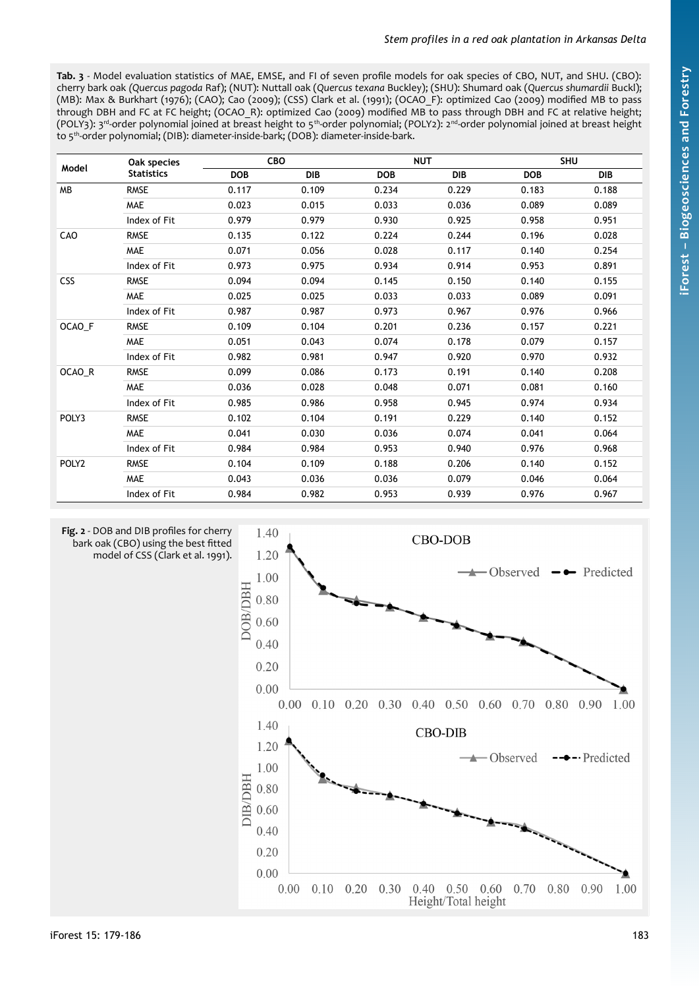<span id="page-4-1"></span>**Tab. 3** - Model evaluation statistics of MAE, EMSE, and FI of seven profile models for oak species of CBO, NUT, and SHU. (CBO): cherry bark oak *(Quercus pagoda* Raf); (NUT): Nuttall oak (*Quercus texana* Buckley); (SHU): Shumard oak (*Quercus shumardii* Buckl); (MB): Max & Burkhart (1976); (CAO); Cao (2009); (CSS) Clark et al. (1991); (OCAO\_F): optimized Cao (2009) modified MB to pass through DBH and FC at FC height; (OCAO\_R): optimized Cao (2009) modified MB to pass through DBH and FC at relative height; (POLY3): 3rd-order polynomial joined at breast height to 5th-order polynomial; (POLY2): 2nd-order polynomial joined at breast height to 5th-order polynomial; (DIB): diameter-inside-bark; (DOB): diameter-inside-bark.

| Model             | Oak species<br><b>Statistics</b> | CBO        |            | <b>NUT</b> |            | <b>SHU</b> |            |
|-------------------|----------------------------------|------------|------------|------------|------------|------------|------------|
|                   |                                  | <b>DOB</b> | <b>DIB</b> | <b>DOB</b> | <b>DIB</b> | <b>DOB</b> | <b>DIB</b> |
| MB                | <b>RMSE</b>                      | 0.117      | 0.109      | 0.234      | 0.229      | 0.183      | 0.188      |
|                   | <b>MAE</b>                       | 0.023      | 0.015      | 0.033      | 0.036      | 0.089      | 0.089      |
|                   | Index of Fit                     | 0.979      | 0.979      | 0.930      | 0.925      | 0.958      | 0.951      |
| CAO               | <b>RMSE</b>                      | 0.135      | 0.122      | 0.224      | 0.244      | 0.196      | 0.028      |
|                   | <b>MAE</b>                       | 0.071      | 0.056      | 0.028      | 0.117      | 0.140      | 0.254      |
|                   | Index of Fit                     | 0.973      | 0.975      | 0.934      | 0.914      | 0.953      | 0.891      |
| <b>CSS</b>        | <b>RMSE</b>                      | 0.094      | 0.094      | 0.145      | 0.150      | 0.140      | 0.155      |
|                   | <b>MAE</b>                       | 0.025      | 0.025      | 0.033      | 0.033      | 0.089      | 0.091      |
|                   | Index of Fit                     | 0.987      | 0.987      | 0.973      | 0.967      | 0.976      | 0.966      |
| OCAO F            | <b>RMSE</b>                      | 0.109      | 0.104      | 0.201      | 0.236      | 0.157      | 0.221      |
|                   | <b>MAE</b>                       | 0.051      | 0.043      | 0.074      | 0.178      | 0.079      | 0.157      |
|                   | Index of Fit                     | 0.982      | 0.981      | 0.947      | 0.920      | 0.970      | 0.932      |
| OCAO_R            | <b>RMSE</b>                      | 0.099      | 0.086      | 0.173      | 0.191      | 0.140      | 0.208      |
|                   | <b>MAE</b>                       | 0.036      | 0.028      | 0.048      | 0.071      | 0.081      | 0.160      |
|                   | Index of Fit                     | 0.985      | 0.986      | 0.958      | 0.945      | 0.974      | 0.934      |
| POLY3             | <b>RMSE</b>                      | 0.102      | 0.104      | 0.191      | 0.229      | 0.140      | 0.152      |
|                   | <b>MAE</b>                       | 0.041      | 0.030      | 0.036      | 0.074      | 0.041      | 0.064      |
|                   | Index of Fit                     | 0.984      | 0.984      | 0.953      | 0.940      | 0.976      | 0.968      |
| POLY <sub>2</sub> | <b>RMSE</b>                      | 0.104      | 0.109      | 0.188      | 0.206      | 0.140      | 0.152      |
|                   | <b>MAE</b>                       | 0.043      | 0.036      | 0.036      | 0.079      | 0.046      | 0.064      |
|                   | Index of Fit                     | 0.984      | 0.982      | 0.953      | 0.939      | 0.976      | 0.967      |

<span id="page-4-0"></span>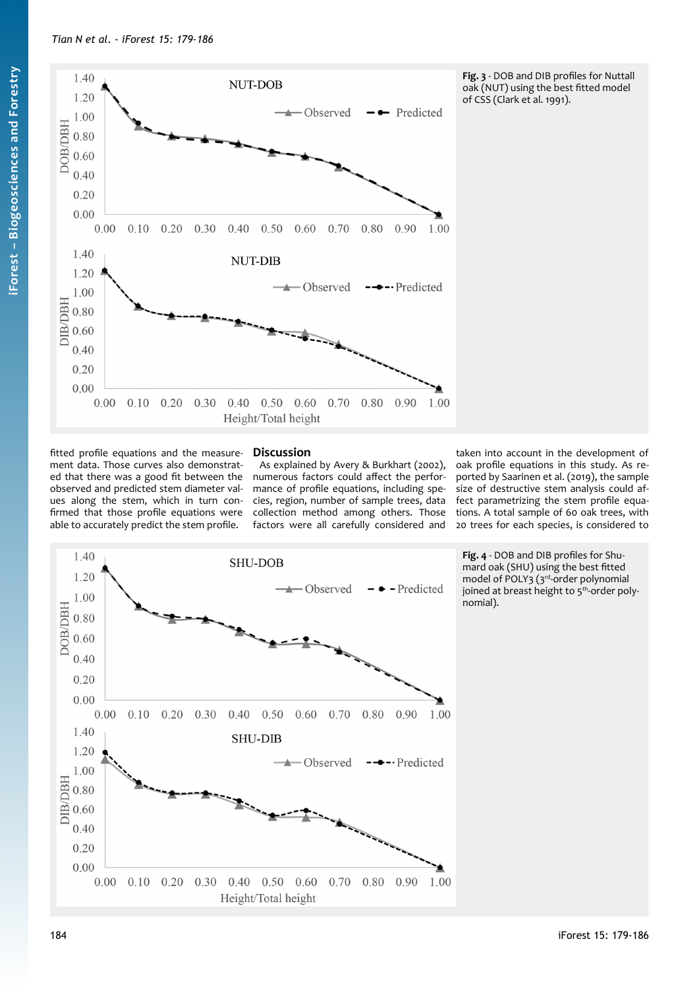

<span id="page-5-1"></span>**Fig. 3** - DOB and DIB profiles for Nuttall oak (NUT) using the best fitted model of CSS (Clark et al. 1991).

fitted profile equations and the measurement data. Those curves also demonstrated that there was a good fit between the observed and predicted stem diameter values along the stem, which in turn confirmed that those profile equations were able to accurately predict the stem profile.

# **Discussion**

As explained by Avery & Burkhart (2002), numerous factors could affect the performance of profile equations, including species, region, number of sample trees, data collection method among others. Those factors were all carefully considered and taken into account in the development of oak profile equations in this study. As reported by Saarinen et al. (2019), the sample size of destructive stem analysis could affect parametrizing the stem profile equations. A total sample of 60 oak trees, with 20 trees for each species, is considered to



<span id="page-5-0"></span>**Fig. 4** - DOB and DIB profiles for Shumard oak (SHU) using the best fitted model of POLY3 (3<sup>rd-</sup>order polynomial joined at breast height to  $5<sup>th</sup>$ -order polynomial).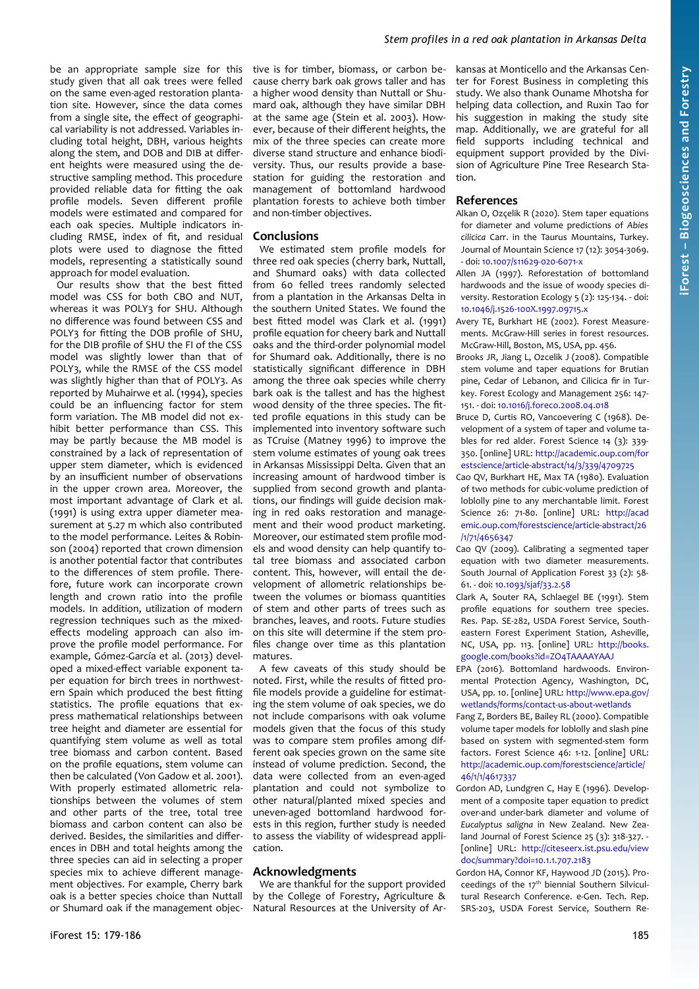be an appropriate sample size for this study given that all oak trees were felled on the same even-aged restoration plantation site. However, since the data comes from a single site, the effect of geographical variability is not addressed. Variables including total height, DBH, various heights along the stem, and DOB and DIB at different heights were measured using the destructive sampling method. This procedure provided reliable data for fitting the oak profile models. Seven different profile models were estimated and compared for each oak species. Multiple indicators including RMSE, index of fit, and residual plots were used to diagnose the fitted models, representing a statistically sound approach for model evaluation.

Our results show that the best fitted model was CSS for both CBO and NUT, whereas it was POLY3 for SHU. Although no difference was found between CSS and POLY3 for fitting the DOB profile of SHU, for the DIB profile of SHU the FI of the CSS model was slightly lower than that of POLY3, while the RMSE of the CSS model was slightly higher than that of POLY3. As reported by Muhairwe et al. (1994), species could be an influencing factor for stem form variation. The MB model did not exhibit better performance than CSS. This may be partly because the MB model is constrained by a lack of representation of upper stem diameter, which is evidenced by an insufficient number of observations in the upper crown area. Moreover, the most important advantage of Clark et al. (1991) is using extra upper diameter measurement at 5.27 m which also contributed to the model performance. Leites & Robinson (2004) reported that crown dimension is another potential factor that contributes to the differences of stem profile. Therefore, future work can incorporate crown length and crown ratio into the profile models. In addition, utilization of modern regression techniques such as the mixedeffects modeling approach can also improve the profile model performance. For example, Gómez-García et al. (2013) developed a mixed-effect variable exponent taper equation for birch trees in northwestern Spain which produced the best fitting statistics. The profile equations that express mathematical relationships between tree height and diameter are essential for quantifying stem volume as well as total tree biomass and carbon content. Based on the profile equations, stem volume can then be calculated (Von Gadow et al. 2001). With properly estimated allometric relationships between the volumes of stem and other parts of the tree, total tree biomass and carbon content can also be derived. Besides, the similarities and differences in DBH and total heights among the three species can aid in selecting a proper species mix to achieve different management objectives. For example, Cherry bark oak is a better species choice than Nuttall or Shumard oak if the management objec-

tive is for timber, biomass, or carbon because cherry bark oak grows taller and has a higher wood density than Nuttall or Shumard oak, although they have similar DBH at the same age (Stein et al. 2003). However, because of their different heights, the mix of the three species can create more diverse stand structure and enhance biodiversity. Thus, our results provide a basestation for guiding the restoration and management of bottomland hardwood plantation forests to achieve both timber and non-timber objectives.

### **Conclusions**

We estimated stem profile models for three red oak species (cherry bark, Nuttall, and Shumard oaks) with data collected from 60 felled trees randomly selected from a plantation in the Arkansas Delta in the southern United States. We found the best fitted model was Clark et al. (1991) profile equation for cheery bark and Nuttall oaks and the third-order polynomial model for Shumard oak. Additionally, there is no statistically significant difference in DBH among the three oak species while cherry bark oak is the tallest and has the highest wood density of the three species. The fitted profile equations in this study can be implemented into inventory software such as TCruise (Matney 1996) to improve the stem volume estimates of young oak trees in Arkansas Mississippi Delta. Given that an increasing amount of hardwood timber is supplied from second growth and plantations, our findings will guide decision making in red oaks restoration and management and their wood product marketing. Moreover, our estimated stem profile models and wood density can help quantify total tree biomass and associated carbon content. This, however, will entail the development of allometric relationships between the volumes or biomass quantities of stem and other parts of trees such as branches, leaves, and roots. Future studies on this site will determine if the stem profiles change over time as this plantation matures.

A few caveats of this study should be noted. First, while the results of fitted profile models provide a guideline for estimating the stem volume of oak species, we do not include comparisons with oak volume models given that the focus of this study was to compare stem profiles among different oak species grown on the same site instead of volume prediction. Second, the data were collected from an even-aged plantation and could not symbolize to other natural/planted mixed species and uneven-aged bottomland hardwood forests in this region, further study is needed to assess the viability of widespread application.

## **Acknowledgments**

We are thankful for the support provided by the College of Forestry, Agriculture & Natural Resources at the University of Arkansas at Monticello and the Arkansas Center for Forest Business in completing this study. We also thank Ouname Mhotsha for helping data collection, and Ruxin Tao for his suggestion in making the study site map. Additionally, we are grateful for all field supports including technical and equipment support provided by the Division of Agriculture Pine Tree Research Station.

# **References**

- Alkan O, Ozçelik R (2020). Stem taper equations for diameter and volume predictions of *Abies cilicica* Carr. in the Taurus Mountains, Turkey. Journal of Mountain Science 17 (12): 3054-3069. - doi: [10.1007/s11629-020-6071-x](https://doi.org/10.1007/s11629-020-6071-x)
- Allen JA (1997). Reforestation of bottomland hardwoods and the issue of woody species diversity. Restoration Ecology 5 (2): 125-134. - doi: [10.1046/j.1526-100X.1997.09715.x](https://doi.org/10.1046/j.1526-100X.1997.09715.x)
- Avery TE, Burkhart HE (2002). Forest Measurements. McGraw-Hill series in forest resources. McGraw-Hill, Boston, MS, USA, pp. 456.
- Brooks JR, Jiang L, Ozcelik J (2008). Compatible stem volume and taper equations for Brutian pine, Cedar of Lebanon, and Cilicica fir in Turkey. Forest Ecology and Management 256: 147- 151. - doi: [10.1016/j.foreco.2008.04.018](https://doi.org/10.1016/j.foreco.2008.04.018)
- Bruce D, Curtis RO, Vancoevering C (1968). Development of a system of taper and volume tables for red alder. Forest Science 14 (3): 339- 350. [online] URL: [http://academic.oup.com/for](http://academic.oup.com/forestscience/article-abstract/14/3/339/4709725) [estscience/article-abstract/14/3/339/4709725](http://academic.oup.com/forestscience/article-abstract/14/3/339/4709725)
- Cao QV, Burkhart HE, Max TA (1980). Evaluation of two methods for cubic-volume prediction of loblolly pine to any merchantable limit. Forest Science 26: 71-80. [online] URL: [http://acad](http://academic.oup.com/forestscience/article-abstract/26/1/71/4656347) [emic.oup.com/forestscience/article-abstract/26](http://academic.oup.com/forestscience/article-abstract/26/1/71/4656347) [/1/71/4656347](http://academic.oup.com/forestscience/article-abstract/26/1/71/4656347)
- Cao QV (2009). Calibrating a segmented taper equation with two diameter measurements. South Journal of Application Forest 33 (2): 58- 61. - doi: [10.1093/sjaf/33.2.58](https://doi.org/10.1093/sjaf/33.2.58)
- Clark A, Souter RA, Schlaegel BE (1991). Stem profile equations for southern tree species. Res. Pap. SE-282, USDA Forest Service, Southeastern Forest Experiment Station, Asheville, NC, USA, pp. 113. [online] URL: [http://books.](http://books.google.com/books?id=ZO4TAAAAYAAJ) [google.com/books?id=ZO4TAAAAYAAJ](http://books.google.com/books?id=ZO4TAAAAYAAJ)
- EPA (2016). Bottomland hardwoods. Environmental Protection Agency, Washington, DC, USA, pp. 10. [online] URL: [http://www.epa.gov/](http://www.epa.gov/wetlands/forms/contact-us-about-wetlands) [wetlands/forms/contact-us-about-wetlands](http://www.epa.gov/wetlands/forms/contact-us-about-wetlands)
- Fang Z, Borders BE, Bailey RL (2000). Compatible volume taper models for loblolly and slash pine based on system with segmented-stem form factors. Forest Science 46: 1-12. [online] URL: [http://academic.oup.com/forestscience/article/](https://academic.oup.com/forestscience/article/46/1/1/4617337) [46/1/1/4617337](https://academic.oup.com/forestscience/article/46/1/1/4617337)
- Gordon AD, Lundgren C, Hay E (1996). Development of a composite taper equation to predict over-and under-bark diameter and volume of *Eucalyptus saligna* in New Zealand. New Zealand Journal of Forest Science 25 (3): 318-327. - [online] URL: [http://citeseerx.ist.psu.edu/view](http://citeseerx.ist.psu.edu/viewdoc/summary?doi=10.1.1.707.2183) [doc/summary?doi=10.1.1.707.2183](http://citeseerx.ist.psu.edu/viewdoc/summary?doi=10.1.1.707.2183)
- Gordon HA, Connor KF, Haywood JD (2015). Proceedings of the 17th biennial Southern Silvicultural Research Conference. e-Gen. Tech. Rep. SRS-203, USDA Forest Service, Southern Re-